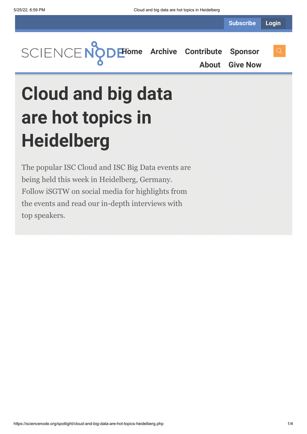**[Home](https://sciencenode.org/) [Archive](https://sciencenode.org/archive/index.php) [Contribute](https://sciencenode.org/contribute/index.php) [Sponsor](https://sciencenode.org/sponsor/index.php)**

**[About](https://sciencenode.org/about/index.php) [Give Now](https://sciencenode.org/donate/index.php)**

## **Cloud and big data are hot topics in Heidelberg**

The popular ISC Cloud and ISC Big Data events are being held this week in Heidelberg, Germany. Follow iSGTW on social media for highlights from the events and read our in-depth interviews with top speakers.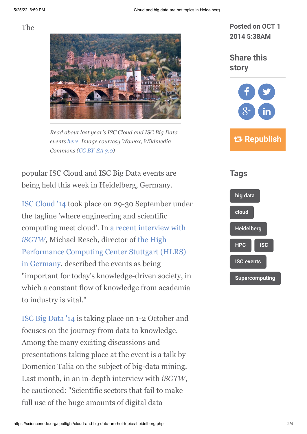The



*Read about last year's ISC Cloud and ISC Big Data events [here](http://www.isgtw.org/issues/2-october-2013). Image courtesy Wowox, Wikimedia Commons ([CC BY-SA 3.0\)](http://creativecommons.org/licenses/by-sa/3.0/deed.en)*

popular ISC Cloud and ISC Big Data events are being held this week in Heidelberg, Germany.

[ISC Cloud '14](http://www.isc-events.com/cloud14/) took place on 29-30 September under the tagline 'where engineering and scientific computing meet cloud'. In [a recent interview with](http://www.isgtw.org/feature/hpc-formula-1-racing-cloud-changing-things) *[iSGTW,](http://www.isgtw.org/feature/hpc-formula-1-racing-cloud-changing-things)* Michael Resch, director of the High [Performance Computing Center Stuttgart \(HLRS\)](http://www.isgtw.org/feature/hpc-formula-1-racing-cloud-changing-things) in Germany, described the events as being "important for today's knowledge-driven society, in which a constant flow of knowledge from academia to industry is vital."

[ISC Big Data '14](http://www.isc-events.com/bigdata14/#) is taking place on 1-2 October and focuses on the journey from data to knowledge. Among the many exciting discussions and presentations taking place at the event is a talk by Domenico Talia on the subject of big-data mining. Last month, in an in-depth interview with *iSGTW*, he cautioned: "Scientific sectors that fail to make full use of the huge amounts of digital data

**Posted on OCT 1 2014 5:38AM**

**Share this story**



 **Republish**

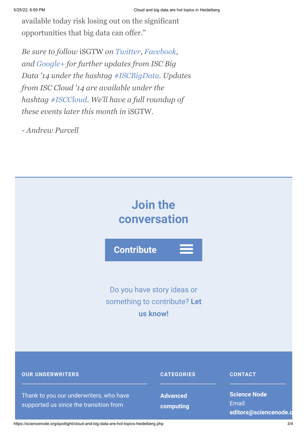available today risk losing out on the significant opportunities that big data can offer."

*Be sure to follow* iSGTW *on [Twitter,](https://twitter.com/search?q=isgtw&src=typd) [Facebook,](https://www.facebook.com/pages/International-Science-Grid-This-Week/141926395796) and [Google+](https://plus.google.com/100076081909774278210/posts) for further updates from ISC Big Data '14 under the hashtag [#ISCBigData.](https://twitter.com/search?q=%23iscbigdata&src=typd) Updates from ISC Cloud '14 are available under the hashtag [#ISCCloud.](https://twitter.com/search?q=%23isccloud&src=typd) We'll have a full roundup of these events later this month in* iSGTW*.*

*- Andrew Purcell*